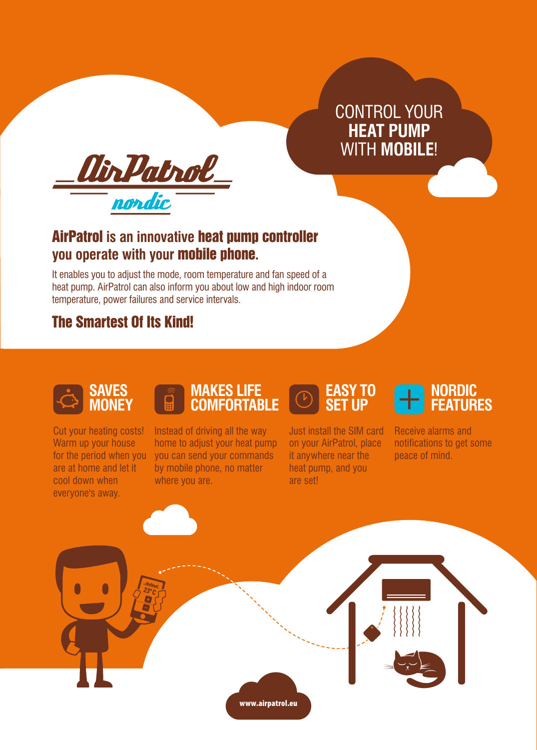CONTROL YOUR **HEAT PUMP** WITH **MOBILE**!



# AirPatrol **is an innovative** heat pump controller **you operate with your** mobile phone**.**

It enables you to adjust the mode, room temperature and fan speed of a heat pump. AirPatrol can also inform you about low and high indoor room temperature, power failures and service intervals.

# The Smartest Of Its Kind!



**MONEY**

Cut your heating costs! Warm up your house for the period when you are at home and let it cool down when everyone's away.

### **MAKES LIFE COMFORTABLE**

Instead of driving all the way home to adjust your heat pump you can send your commands by mobile phone, no matter where you are.

# **EASY TO SET UP**

Just install the SIM card on your AirPatrol, place it anywhere near the heat pump, and you are set!



Receive alarms and notifications to get some peace of mind.